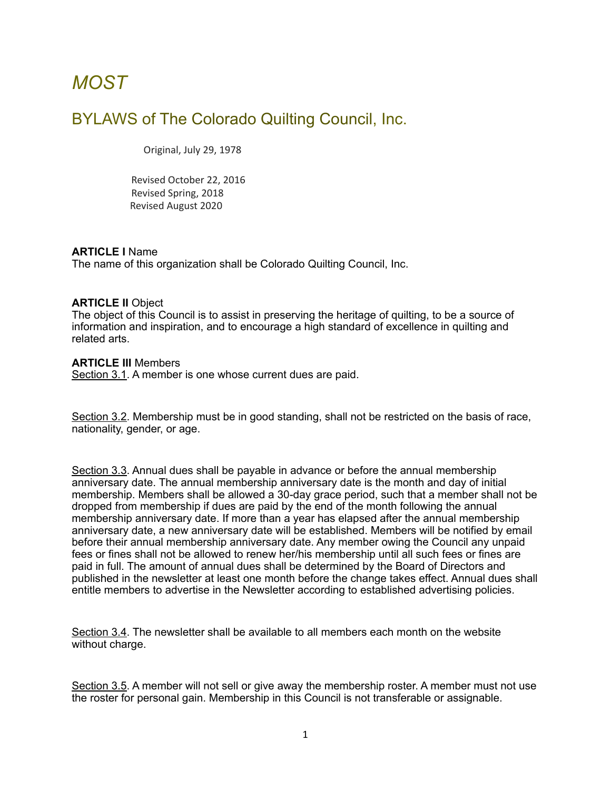# *MOST*

# BYLAWS of The Colorado Quilting Council, Inc.

Original, July 29, 1978

 Revised October 22, 2016 Revised Spring, 2018 Revised August 2020

#### **ARTICLE I** Name

The name of this organization shall be Colorado Quilting Council, Inc.

#### **ARTICLE II** Object

The object of this Council is to assist in preserving the heritage of quilting, to be a source of information and inspiration, and to encourage a high standard of excellence in quilting and related arts.

#### **ARTICLE III** Members

Section 3.1. A member is one whose current dues are paid.

Section 3.2. Membership must be in good standing, shall not be restricted on the basis of race, nationality, gender, or age.

Section 3.3. Annual dues shall be payable in advance or before the annual membership anniversary date. The annual membership anniversary date is the month and day of initial membership. Members shall be allowed a 30-day grace period, such that a member shall not be dropped from membership if dues are paid by the end of the month following the annual membership anniversary date. If more than a year has elapsed after the annual membership anniversary date, a new anniversary date will be established. Members will be notified by email before their annual membership anniversary date. Any member owing the Council any unpaid fees or fines shall not be allowed to renew her/his membership until all such fees or fines are paid in full. The amount of annual dues shall be determined by the Board of Directors and published in the newsletter at least one month before the change takes effect. Annual dues shall entitle members to advertise in the Newsletter according to established advertising policies.

Section 3.4. The newsletter shall be available to all members each month on the website without charge.

Section 3.5. A member will not sell or give away the membership roster. A member must not use the roster for personal gain. Membership in this Council is not transferable or assignable.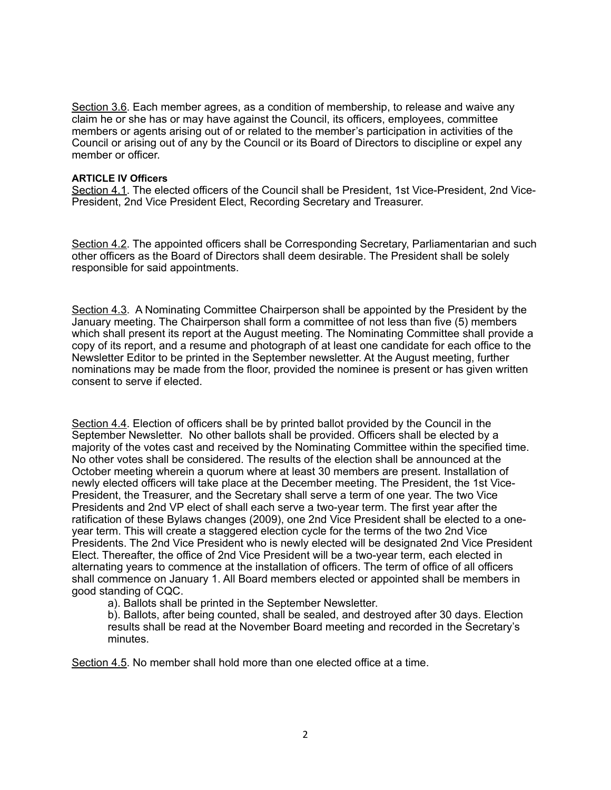Section 3.6. Each member agrees, as a condition of membership, to release and waive any claim he or she has or may have against the Council, its officers, employees, committee members or agents arising out of or related to the member's participation in activities of the Council or arising out of any by the Council or its Board of Directors to discipline or expel any member or officer.

#### **ARTICLE IV Officers**

Section 4.1. The elected officers of the Council shall be President, 1st Vice-President, 2nd Vice-President, 2nd Vice President Elect, Recording Secretary and Treasurer.

Section 4.2. The appointed officers shall be Corresponding Secretary, Parliamentarian and such other officers as the Board of Directors shall deem desirable. The President shall be solely responsible for said appointments.

Section 4.3. A Nominating Committee Chairperson shall be appointed by the President by the January meeting. The Chairperson shall form a committee of not less than five (5) members which shall present its report at the August meeting. The Nominating Committee shall provide a copy of its report, and a resume and photograph of at least one candidate for each office to the Newsletter Editor to be printed in the September newsletter. At the August meeting, further nominations may be made from the floor, provided the nominee is present or has given written consent to serve if elected.

Section 4.4. Election of officers shall be by printed ballot provided by the Council in the September Newsletter. No other ballots shall be provided. Officers shall be elected by a majority of the votes cast and received by the Nominating Committee within the specified time. No other votes shall be considered. The results of the election shall be announced at the October meeting wherein a quorum where at least 30 members are present. Installation of newly elected officers will take place at the December meeting. The President, the 1st Vice-President, the Treasurer, and the Secretary shall serve a term of one year. The two Vice Presidents and 2nd VP elect of shall each serve a two-year term. The first year after the ratification of these Bylaws changes (2009), one 2nd Vice President shall be elected to a oneyear term. This will create a staggered election cycle for the terms of the two 2nd Vice Presidents. The 2nd Vice President who is newly elected will be designated 2nd Vice President Elect. Thereafter, the office of 2nd Vice President will be a two-year term, each elected in alternating years to commence at the installation of officers. The term of office of all officers shall commence on January 1. All Board members elected or appointed shall be members in good standing of CQC.

a). Ballots shall be printed in the September Newsletter.

b). Ballots, after being counted, shall be sealed, and destroyed after 30 days. Election results shall be read at the November Board meeting and recorded in the Secretary's minutes.

Section 4.5. No member shall hold more than one elected office at a time.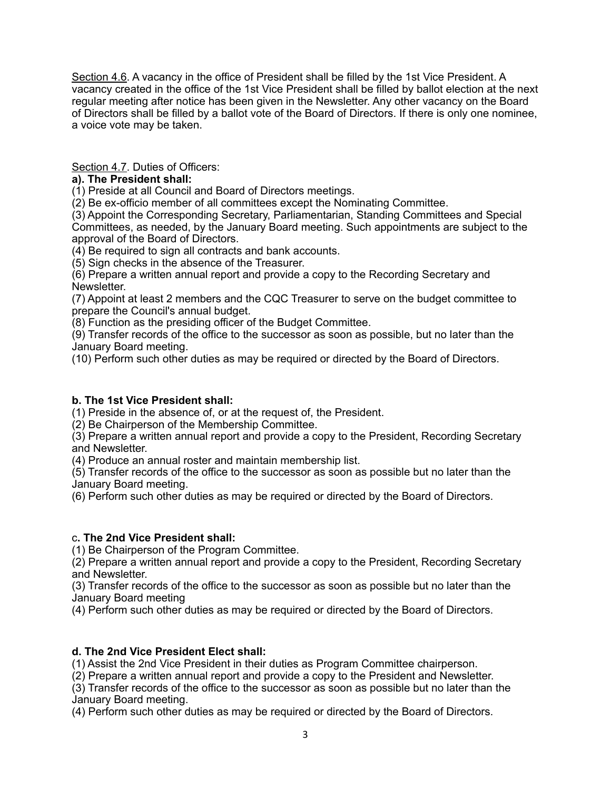Section 4.6. A vacancy in the office of President shall be filled by the 1st Vice President. A vacancy created in the office of the 1st Vice President shall be filled by ballot election at the next regular meeting after notice has been given in the Newsletter. Any other vacancy on the Board of Directors shall be filled by a ballot vote of the Board of Directors. If there is only one nominee, a voice vote may be taken.

Section 4.7. Duties of Officers:

## **a). The President shall:**

(1) Preside at all Council and Board of Directors meetings.

(2) Be ex-officio member of all committees except the Nominating Committee.

(3) Appoint the Corresponding Secretary, Parliamentarian, Standing Committees and Special Committees, as needed, by the January Board meeting. Such appointments are subject to the approval of the Board of Directors.

(4) Be required to sign all contracts and bank accounts.

(5) Sign checks in the absence of the Treasurer.

(6) Prepare a written annual report and provide a copy to the Recording Secretary and Newsletter.

(7) Appoint at least 2 members and the CQC Treasurer to serve on the budget committee to prepare the Council's annual budget.

(8) Function as the presiding officer of the Budget Committee.

(9) Transfer records of the office to the successor as soon as possible, but no later than the January Board meeting.

(10) Perform such other duties as may be required or directed by the Board of Directors.

## **b. The 1st Vice President shall:**

(1) Preside in the absence of, or at the request of, the President.

(2) Be Chairperson of the Membership Committee.

(3) Prepare a written annual report and provide a copy to the President, Recording Secretary and Newsletter.

(4) Produce an annual roster and maintain membership list.

(5) Transfer records of the office to the successor as soon as possible but no later than the January Board meeting.

(6) Perform such other duties as may be required or directed by the Board of Directors.

# c**. The 2nd Vice President shall:**

(1) Be Chairperson of the Program Committee.

(2) Prepare a written annual report and provide a copy to the President, Recording Secretary and Newsletter.

(3) Transfer records of the office to the successor as soon as possible but no later than the January Board meeting

(4) Perform such other duties as may be required or directed by the Board of Directors.

# **d. The 2nd Vice President Elect shall:**

(1) Assist the 2nd Vice President in their duties as Program Committee chairperson.

(2) Prepare a written annual report and provide a copy to the President and Newsletter.

(3) Transfer records of the office to the successor as soon as possible but no later than the January Board meeting.

(4) Perform such other duties as may be required or directed by the Board of Directors.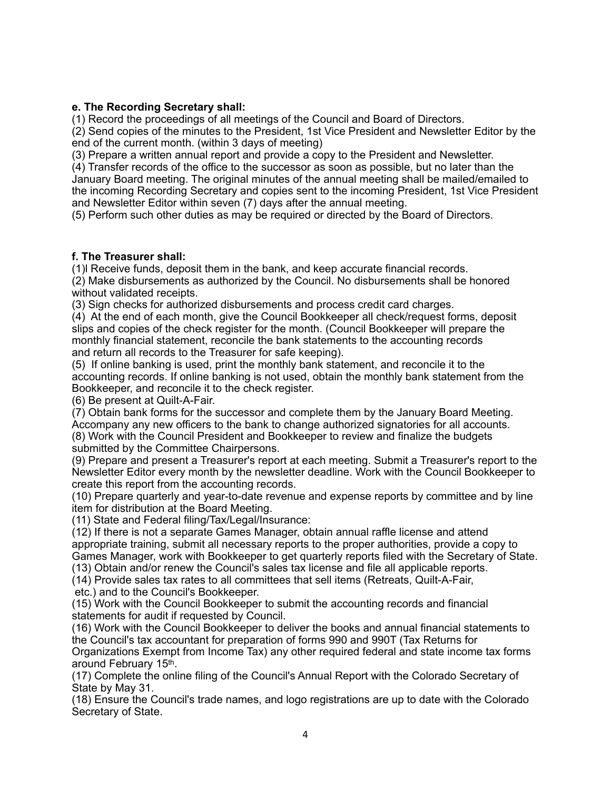#### **e. The Recording Secretary shall:**

(1) Record the proceedings of all meetings of the Council and Board of Directors.

(2) Send copies of the minutes to the President, 1st Vice President and Newsletter Editor by the end of the current month. (within 3 days of meeting)

(3) Prepare a written annual report and provide a copy to the President and Newsletter.

(4) Transfer records of the office to the successor as soon as possible, but no later than the January Board meeting. The original minutes of the annual meeting shall be mailed/emailed to the incoming Recording Secretary and copies sent to the incoming President, 1st Vice President and Newsletter Editor within seven (7) days after the annual meeting.

(5) Perform such other duties as may be required or directed by the Board of Directors.

#### **f. The Treasurer shall:**

(1)l Receive funds, deposit them in the bank, and keep accurate financial records. (2) Make disbursements as authorized by the Council. No disbursements shall be honored without validated receipts.

(3) Sign checks for authorized disbursements and process credit card charges.

(4) At the end of each month, give the Council Bookkeeper all check/request forms, deposit slips and copies of the check register for the month. (Council Bookkeeper will prepare the monthly financial statement, reconcile the bank statements to the accounting records and return all records to the Treasurer for safe keeping).

(5) If online banking is used, print the monthly bank statement, and reconcile it to the accounting records. If online banking is not used, obtain the monthly bank statement from the Bookkeeper, and reconcile it to the check register.

(6) Be present at Quilt-A-Fair.

(7) Obtain bank forms for the successor and complete them by the January Board Meeting. Accompany any new officers to the bank to change authorized signatories for all accounts.

(8) Work with the Council President and Bookkeeper to review and finalize the budgets submitted by the Committee Chairpersons.

(9) Prepare and present a Treasurer's report at each meeting. Submit a Treasurer's report to the Newsletter Editor every month by the newsletter deadline. Work with the Council Bookkeeper to create this report from the accounting records.

(10) Prepare quarterly and year-to-date revenue and expense reports by committee and by line item for distribution at the Board Meeting.

(11) State and Federal filing/Tax/Legal/Insurance:

(12) If there is not a separate Games Manager, obtain annual raffle license and attend appropriate training, submit all necessary reports to the proper authorities, provide a copy to Games Manager, work with Bookkeeper to get quarterly reports filed with the Secretary of State.

(13) Obtain and/or renew the Council's sales tax license and file all applicable reports.

(14) Provide sales tax rates to all committees that sell items (Retreats, Quilt-A-Fair,

etc.) and to the Council's Bookkeeper.

(15) Work with the Council Bookkeeper to submit the accounting records and financial statements for audit if requested by Council.

(16) Work with the Council Bookkeeper to deliver the books and annual financial statements to the Council's tax accountant for preparation of forms 990 and 990T (Tax Returns for Organizations Exempt from Income Tax) any other required federal and state income tax forms around February 15th.

(17) Complete the online filing of the Council's Annual Report with the Colorado Secretary of State by May 31.

(18) Ensure the Council's trade names, and logo registrations are up to date with the Colorado Secretary of State.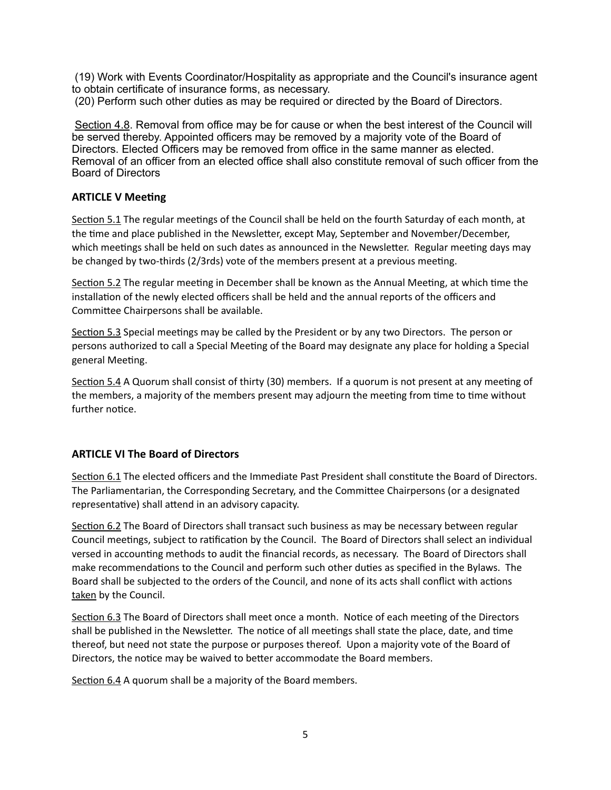(19) Work with Events Coordinator/Hospitality as appropriate and the Council's insurance agent to obtain certificate of insurance forms, as necessary. (20) Perform such other duties as may be required or directed by the Board of Directors.

Section 4.8. Removal from office may be for cause or when the best interest of the Council will be served thereby. Appointed officers may be removed by a majority vote of the Board of Directors. Elected Officers may be removed from office in the same manner as elected. Removal of an officer from an elected office shall also constitute removal of such officer from the Board of Directors

# **ARTICLE V Meeting**

Section 5.1 The regular meetings of the Council shall be held on the fourth Saturday of each month, at the time and place published in the Newsletter, except May, September and November/December, which meetings shall be held on such dates as announced in the Newsletter. Regular meeting days may be changed by two-thirds ( $2/3$ rds) vote of the members present at a previous meeting.

Section 5.2 The regular meeting in December shall be known as the Annual Meeting, at which time the installation of the newly elected officers shall be held and the annual reports of the officers and Committee Chairpersons shall be available.

Section 5.3 Special meetings may be called by the President or by any two Directors. The person or persons authorized to call a Special Meeting of the Board may designate any place for holding a Special general Meeting.

Section 5.4 A Quorum shall consist of thirty (30) members. If a quorum is not present at any meeting of the members, a majority of the members present may adjourn the meeting from time to time without further notice.

# **ARTICLE VI The Board of Directors**

Section 6.1 The elected officers and the Immediate Past President shall constitute the Board of Directors. The Parliamentarian, the Corresponding Secretary, and the Committee Chairpersons (or a designated representative) shall attend in an advisory capacity.

Section 6.2 The Board of Directors shall transact such business as may be necessary between regular Council meetings, subject to ratification by the Council. The Board of Directors shall select an individual versed in accounting methods to audit the financial records, as necessary. The Board of Directors shall make recommendations to the Council and perform such other duties as specified in the Bylaws. The Board shall be subjected to the orders of the Council, and none of its acts shall conflict with actions taken by the Council.

Section 6.3 The Board of Directors shall meet once a month. Notice of each meeting of the Directors shall be published in the Newsletter. The notice of all meetings shall state the place, date, and time thereof, but need not state the purpose or purposes thereof. Upon a majority vote of the Board of Directors, the notice may be waived to better accommodate the Board members.

Section 6.4 A quorum shall be a majority of the Board members.